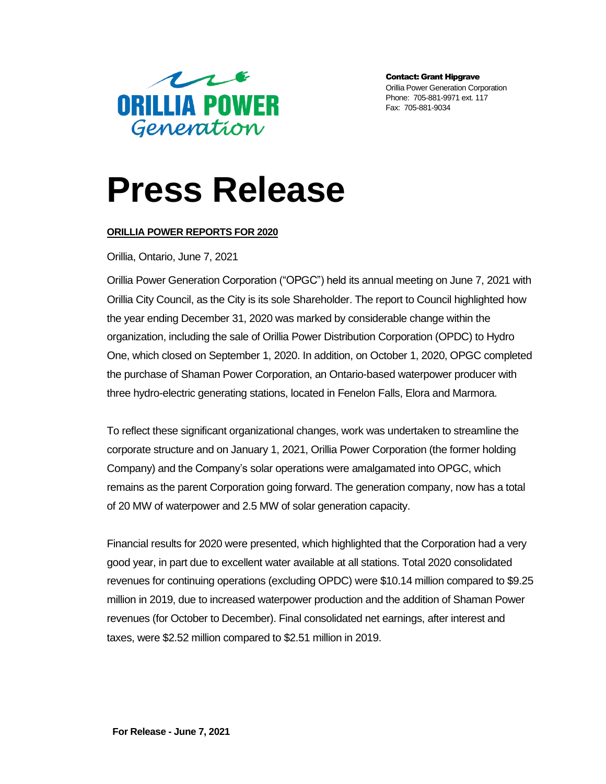

Contact: Grant Hipgrave Orillia Power Generation Corporation Phone: 705-881-9971 ext. 117 Fax: 705-881-9034

## **Press Release**

## **ORILLIA POWER REPORTS FOR 2020**

Orillia, Ontario, June 7, 2021

Orillia Power Generation Corporation ("OPGC") held its annual meeting on June 7, 2021 with Orillia City Council, as the City is its sole Shareholder. The report to Council highlighted how the year ending December 31, 2020 was marked by considerable change within the organization, including the sale of Orillia Power Distribution Corporation (OPDC) to Hydro One, which closed on September 1, 2020. In addition, on October 1, 2020, OPGC completed the purchase of Shaman Power Corporation, an Ontario-based waterpower producer with three hydro-electric generating stations, located in Fenelon Falls, Elora and Marmora.

To reflect these significant organizational changes, work was undertaken to streamline the corporate structure and on January 1, 2021, Orillia Power Corporation (the former holding Company) and the Company's solar operations were amalgamated into OPGC, which remains as the parent Corporation going forward. The generation company, now has a total of 20 MW of waterpower and 2.5 MW of solar generation capacity.

Financial results for 2020 were presented, which highlighted that the Corporation had a very good year, in part due to excellent water available at all stations. Total 2020 consolidated revenues for continuing operations (excluding OPDC) were \$10.14 million compared to \$9.25 million in 2019, due to increased waterpower production and the addition of Shaman Power revenues (for October to December). Final consolidated net earnings, after interest and taxes, were \$2.52 million compared to \$2.51 million in 2019.